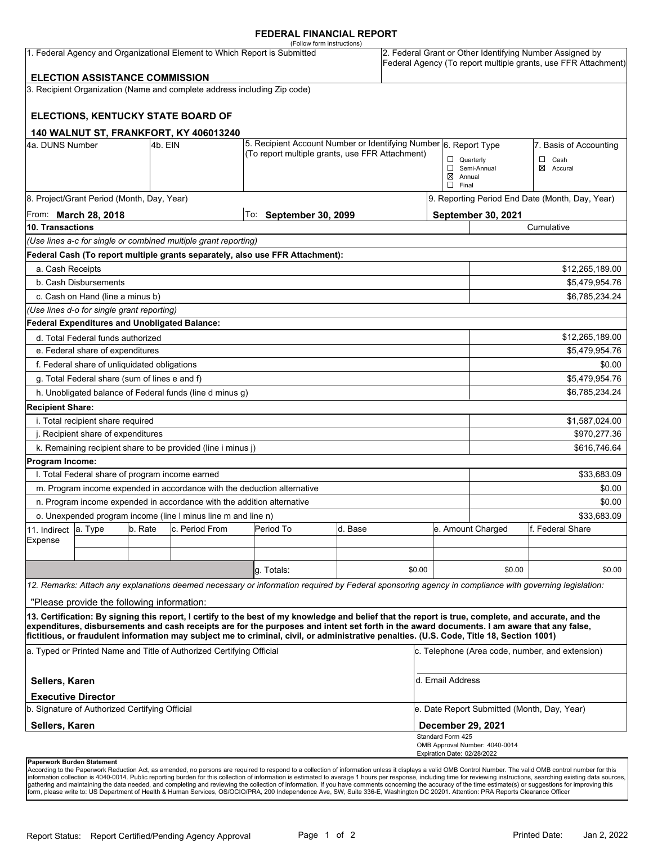#### **FEDERAL FINANCIAL REPORT**

|                                                                           |                                            |         |                                                                          | (Follow form instructions)                                                                                                                                                                                                                                                              |         |        |                                                                                                                            |                                                 |                  |  |
|---------------------------------------------------------------------------|--------------------------------------------|---------|--------------------------------------------------------------------------|-----------------------------------------------------------------------------------------------------------------------------------------------------------------------------------------------------------------------------------------------------------------------------------------|---------|--------|----------------------------------------------------------------------------------------------------------------------------|-------------------------------------------------|------------------|--|
| 1. Federal Agency and Organizational Element to Which Report is Submitted |                                            |         |                                                                          |                                                                                                                                                                                                                                                                                         |         |        | 2. Federal Grant or Other Identifying Number Assigned by<br>Federal Agency (To report multiple grants, use FFR Attachment) |                                                 |                  |  |
|                                                                           | <b>ELECTION ASSISTANCE COMMISSION</b>      |         |                                                                          |                                                                                                                                                                                                                                                                                         |         |        |                                                                                                                            |                                                 |                  |  |
|                                                                           |                                            |         | 3. Recipient Organization (Name and complete address including Zip code) |                                                                                                                                                                                                                                                                                         |         |        |                                                                                                                            |                                                 |                  |  |
|                                                                           |                                            |         |                                                                          |                                                                                                                                                                                                                                                                                         |         |        |                                                                                                                            |                                                 |                  |  |
|                                                                           |                                            |         | ELECTIONS, KENTUCKY STATE BOARD OF                                       |                                                                                                                                                                                                                                                                                         |         |        |                                                                                                                            |                                                 |                  |  |
|                                                                           |                                            |         | 140 WALNUT ST, FRANKFORT, KY 406013240                                   |                                                                                                                                                                                                                                                                                         |         |        |                                                                                                                            |                                                 |                  |  |
| 4a. DUNS Number<br>4b. EIN                                                |                                            |         |                                                                          | 5. Recipient Account Number or Identifying Number 6. Report Type                                                                                                                                                                                                                        |         |        |                                                                                                                            | 7. Basis of Accounting                          |                  |  |
|                                                                           |                                            |         |                                                                          | (To report multiple grants, use FFR Attachment)                                                                                                                                                                                                                                         |         |        | $\Box$ Quarterly                                                                                                           |                                                 | □<br>Cash        |  |
|                                                                           |                                            |         |                                                                          |                                                                                                                                                                                                                                                                                         |         |        | $\boxtimes$ Annual                                                                                                         | Semi-Annual                                     | ⊠<br>Accural     |  |
|                                                                           |                                            |         |                                                                          |                                                                                                                                                                                                                                                                                         |         |        | $\Box$ Final                                                                                                               |                                                 |                  |  |
|                                                                           | 8. Project/Grant Period (Month, Day, Year) |         |                                                                          |                                                                                                                                                                                                                                                                                         |         |        |                                                                                                                            | 9. Reporting Period End Date (Month, Day, Year) |                  |  |
| From: March 28, 2018                                                      |                                            |         |                                                                          | To: September 30, 2099                                                                                                                                                                                                                                                                  |         |        |                                                                                                                            | September 30, 2021                              |                  |  |
| <b>10. Transactions</b>                                                   |                                            |         |                                                                          |                                                                                                                                                                                                                                                                                         |         |        | Cumulative                                                                                                                 |                                                 |                  |  |
|                                                                           |                                            |         | (Use lines a-c for single or combined multiple grant reporting)          |                                                                                                                                                                                                                                                                                         |         |        |                                                                                                                            |                                                 |                  |  |
|                                                                           |                                            |         |                                                                          | Federal Cash (To report multiple grants separately, also use FFR Attachment):                                                                                                                                                                                                           |         |        |                                                                                                                            |                                                 |                  |  |
| a. Cash Receipts                                                          |                                            |         |                                                                          |                                                                                                                                                                                                                                                                                         |         |        |                                                                                                                            |                                                 | \$12,265,189.00  |  |
| b. Cash Disbursements                                                     |                                            |         |                                                                          |                                                                                                                                                                                                                                                                                         |         |        | \$5,479,954.76                                                                                                             |                                                 |                  |  |
| c. Cash on Hand (line a minus b)                                          |                                            |         |                                                                          |                                                                                                                                                                                                                                                                                         |         |        |                                                                                                                            |                                                 | \$6,785,234.24   |  |
|                                                                           | (Use lines d-o for single grant reporting) |         |                                                                          |                                                                                                                                                                                                                                                                                         |         |        |                                                                                                                            |                                                 |                  |  |
|                                                                           |                                            |         | Federal Expenditures and Unobligated Balance:                            |                                                                                                                                                                                                                                                                                         |         |        |                                                                                                                            |                                                 |                  |  |
| d. Total Federal funds authorized                                         |                                            |         |                                                                          |                                                                                                                                                                                                                                                                                         |         |        |                                                                                                                            | \$12,265,189.00                                 |                  |  |
| e. Federal share of expenditures                                          |                                            |         |                                                                          |                                                                                                                                                                                                                                                                                         |         |        |                                                                                                                            | \$5,479,954.76                                  |                  |  |
| f. Federal share of unliquidated obligations                              |                                            |         |                                                                          |                                                                                                                                                                                                                                                                                         |         |        |                                                                                                                            | \$0.00                                          |                  |  |
| g. Total Federal share (sum of lines e and f)                             |                                            |         |                                                                          |                                                                                                                                                                                                                                                                                         |         |        |                                                                                                                            |                                                 | \$5,479,954.76   |  |
|                                                                           |                                            |         | h. Unobligated balance of Federal funds (line d minus g)                 |                                                                                                                                                                                                                                                                                         |         |        |                                                                                                                            |                                                 | \$6,785,234.24   |  |
| <b>Recipient Share:</b>                                                   |                                            |         |                                                                          |                                                                                                                                                                                                                                                                                         |         |        |                                                                                                                            |                                                 |                  |  |
| i. Total recipient share required                                         |                                            |         |                                                                          |                                                                                                                                                                                                                                                                                         |         |        |                                                                                                                            |                                                 | \$1,587,024.00   |  |
| j. Recipient share of expenditures                                        |                                            |         |                                                                          |                                                                                                                                                                                                                                                                                         |         |        |                                                                                                                            | \$970,277.36                                    |                  |  |
|                                                                           |                                            |         | k. Remaining recipient share to be provided (line i minus j)             |                                                                                                                                                                                                                                                                                         |         |        |                                                                                                                            |                                                 | \$616,746.64     |  |
| Program Income:                                                           |                                            |         |                                                                          |                                                                                                                                                                                                                                                                                         |         |        |                                                                                                                            |                                                 |                  |  |
| I. Total Federal share of program income earned                           |                                            |         |                                                                          |                                                                                                                                                                                                                                                                                         |         |        |                                                                                                                            |                                                 | \$33,683.09      |  |
| m. Program income expended in accordance with the deduction alternative   |                                            |         |                                                                          |                                                                                                                                                                                                                                                                                         |         |        |                                                                                                                            | \$0.00                                          |                  |  |
| n. Program income expended in accordance with the addition alternative    |                                            |         |                                                                          |                                                                                                                                                                                                                                                                                         |         |        |                                                                                                                            | \$0.00                                          |                  |  |
| o. Unexpended program income (line I minus line m and line n)             |                                            |         |                                                                          |                                                                                                                                                                                                                                                                                         |         |        |                                                                                                                            |                                                 | \$33.683.09      |  |
| 11. Indirect                                                              | a. Type                                    | b. Rate | c. Period From                                                           | Period To                                                                                                                                                                                                                                                                               | d. Base |        |                                                                                                                            | e. Amount Charged                               | f. Federal Share |  |
| Expense                                                                   |                                            |         |                                                                          |                                                                                                                                                                                                                                                                                         |         |        |                                                                                                                            |                                                 |                  |  |
|                                                                           |                                            |         |                                                                          |                                                                                                                                                                                                                                                                                         |         |        |                                                                                                                            |                                                 |                  |  |
|                                                                           |                                            |         |                                                                          | q. Totals:                                                                                                                                                                                                                                                                              |         | \$0.00 |                                                                                                                            | \$0.00                                          | \$0.00           |  |
|                                                                           |                                            |         |                                                                          | 12. Remarks: Attach any explanations deemed necessary or information required by Federal sponsoring agency in compliance with governing legislation:                                                                                                                                    |         |        |                                                                                                                            |                                                 |                  |  |
|                                                                           | "Please provide the following information: |         |                                                                          |                                                                                                                                                                                                                                                                                         |         |        |                                                                                                                            |                                                 |                  |  |
|                                                                           |                                            |         |                                                                          | 13. Certification: By signing this report, I certify to the best of my knowledge and belief that the report is true, complete, and accurate, and the                                                                                                                                    |         |        |                                                                                                                            |                                                 |                  |  |
|                                                                           |                                            |         |                                                                          | expenditures, disbursements and cash receipts are for the purposes and intent set forth in the award documents. I am aware that any false,<br>fictitious, or fraudulent information may subject me to criminal, civil, or administrative penalties. (U.S. Code, Title 18, Section 1001) |         |        |                                                                                                                            |                                                 |                  |  |
| a. Typed or Printed Name and Title of Authorized Certifying Official      |                                            |         |                                                                          |                                                                                                                                                                                                                                                                                         |         |        | c. Telephone (Area code, number, and extension)                                                                            |                                                 |                  |  |
| Sellers, Karen                                                            |                                            |         |                                                                          |                                                                                                                                                                                                                                                                                         |         |        | d. Email Address                                                                                                           |                                                 |                  |  |
|                                                                           | <b>Executive Director</b>                  |         |                                                                          |                                                                                                                                                                                                                                                                                         |         |        |                                                                                                                            |                                                 |                  |  |
| b. Signature of Authorized Certifying Official                            |                                            |         |                                                                          |                                                                                                                                                                                                                                                                                         |         |        | e. Date Report Submitted (Month, Day, Year)                                                                                |                                                 |                  |  |
| Sellers, Karen                                                            |                                            |         |                                                                          |                                                                                                                                                                                                                                                                                         |         |        |                                                                                                                            | December 29, 2021<br>Standard Form 425          |                  |  |
|                                                                           |                                            |         |                                                                          |                                                                                                                                                                                                                                                                                         |         |        |                                                                                                                            | OMB Approval Number: 4040-0014                  |                  |  |
|                                                                           |                                            |         |                                                                          |                                                                                                                                                                                                                                                                                         |         |        | Expiration Date: 02/28/2022                                                                                                |                                                 |                  |  |

**Paperwork Burden Statement**<br>According to the Paperwork Reduction Act, as amended, no persons are required to respond to a collection of information unless it displays a valid OMB Control Number. The valid OMB control numb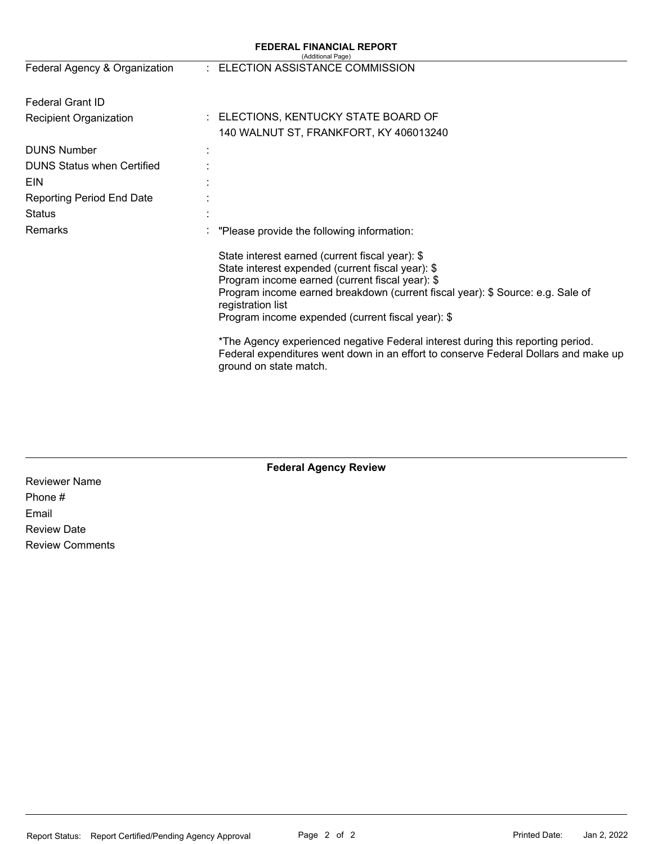| <b>FEDERAL FINANCIAL REPORT</b><br>(Additional Page) |                                                                                                                                                                                                                                                                                                                     |  |  |  |  |  |
|------------------------------------------------------|---------------------------------------------------------------------------------------------------------------------------------------------------------------------------------------------------------------------------------------------------------------------------------------------------------------------|--|--|--|--|--|
| Federal Agency & Organization                        | : ELECTION ASSISTANCE COMMISSION                                                                                                                                                                                                                                                                                    |  |  |  |  |  |
| <b>Federal Grant ID</b>                              |                                                                                                                                                                                                                                                                                                                     |  |  |  |  |  |
| Recipient Organization                               | : ELECTIONS, KENTUCKY STATE BOARD OF                                                                                                                                                                                                                                                                                |  |  |  |  |  |
|                                                      | 140 WALNUT ST, FRANKFORT, KY 406013240                                                                                                                                                                                                                                                                              |  |  |  |  |  |
| <b>DUNS Number</b>                                   |                                                                                                                                                                                                                                                                                                                     |  |  |  |  |  |
| <b>DUNS Status when Certified</b>                    |                                                                                                                                                                                                                                                                                                                     |  |  |  |  |  |
| EIN                                                  |                                                                                                                                                                                                                                                                                                                     |  |  |  |  |  |
| <b>Reporting Period End Date</b>                     |                                                                                                                                                                                                                                                                                                                     |  |  |  |  |  |
| <b>Status</b>                                        |                                                                                                                                                                                                                                                                                                                     |  |  |  |  |  |
| Remarks                                              | "Please provide the following information:                                                                                                                                                                                                                                                                          |  |  |  |  |  |
|                                                      | State interest earned (current fiscal year): \$<br>State interest expended (current fiscal year): \$<br>Program income earned (current fiscal year): \$<br>Program income earned breakdown (current fiscal year): \$ Source: e.g. Sale of<br>registration list<br>Program income expended (current fiscal year): \$ |  |  |  |  |  |
|                                                      | *The Agency experienced negative Federal interest during this reporting period.<br>Federal expenditures went down in an effort to conserve Federal Dollars and make up<br>ground on state match.                                                                                                                    |  |  |  |  |  |

## **Federal Agency Review**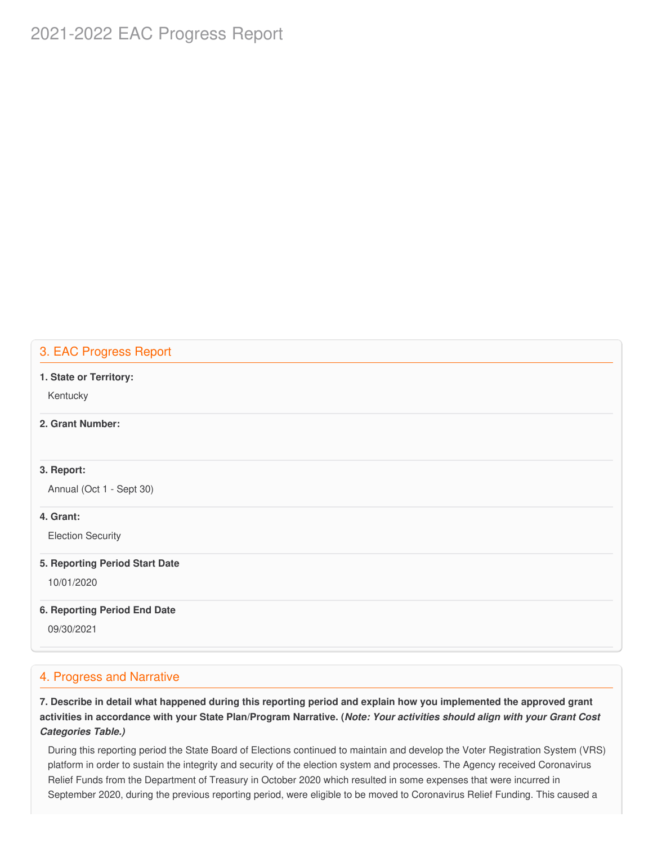# 2021-2022 EAC Progress Report

### 3. EAC Progress Report

#### **1. State or Territory:**

Kentucky

### **2. Grant Number:**

#### **3. Report:**

Annual (Oct 1 - Sept 30)

#### **4. Grant:**

Election Security

#### **5. Reporting Period Start Date**

10/01/2020

#### **6. Reporting Period End Date**

09/30/2021

### 4. Progress and Narrative

7. Describe in detail what happened during this reporting period and explain how you implemented the approved grant activities in accordance with your State Plan/Program Narrative. (*Note: Your activities should align with your Grant Cost Categories Table.)*

 During this reporting period the State Board of Elections continued to maintain and develop the Voter Registration System (VRS) platform in order to sustain the integrity and security of the election system and processes. The Agency received Coronavirus Relief Funds from the Department of Treasury in October 2020 which resulted in some expenses that were incurred in September 2020, during the previous reporting period, were eligible to be moved to Coronavirus Relief Funding. This caused a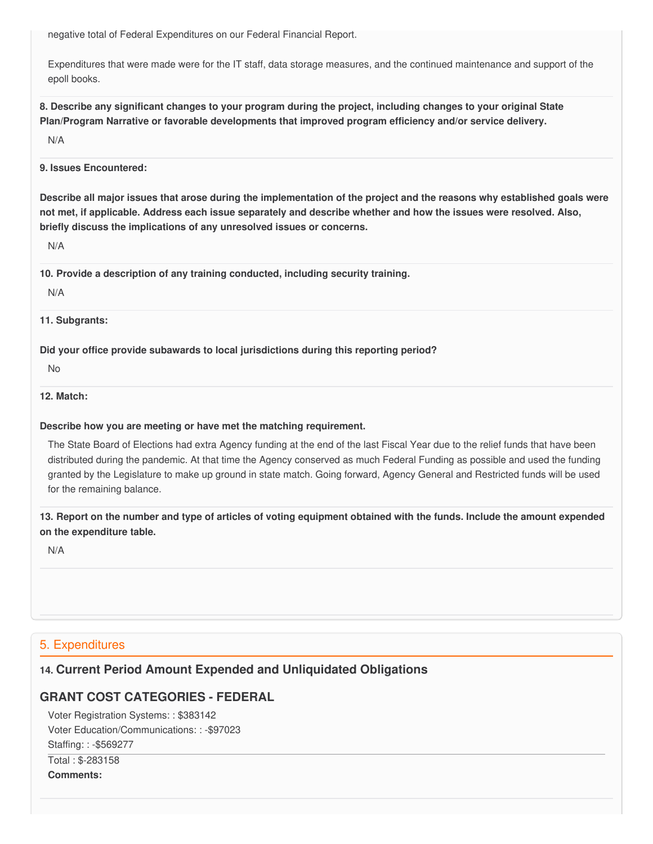negative total of Federal Expenditures on our Federal Financial Report.

 Expenditures that were made were for the IT staff, data storage measures, and the continued maintenance and support of the epoll books.

8. Describe any significant changes to your program during the project, including changes to your original State  **Plan/Program Narrative or favorable developments that improved program efficiency and/or service delivery.**

N/A

#### **9. Issues Encountered:**

Describe all major issues that arose during the implementation of the project and the reasons why established goals were not met, if applicable. Address each issue separately and describe whether and how the issues were resolved. Also,  **briefly discuss the implications of any unresolved issues or concerns.**

N/A

 **10. Provide a description of any training conducted, including security training.**

N/A

#### **11. Subgrants:**

 **Did your office provide subawards to local jurisdictions during this reporting period?**

No

#### **12. Match:**

#### **Describe how you are meeting or have met the matching requirement.**

 The State Board of Elections had extra Agency funding at the end of the last Fiscal Year due to the relief funds that have been distributed during the pandemic. At that time the Agency conserved as much Federal Funding as possible and used the funding granted by the Legislature to make up ground in state match. Going forward, Agency General and Restricted funds will be used for the remaining balance.

13. Report on the number and type of articles of voting equipment obtained with the funds. Include the amount expended  **on the expenditure table.**

N/A

### 5. Expenditures

# **14. Current Period Amount Expended and Unliquidated Obligations**

# **GRANT COST CATEGORIES - FEDERAL**

 Voter Registration Systems: : \$383142 Voter Education/Communications: : -\$97023 Staffing: : -\$569277 Total : \$-283158 **Comments:**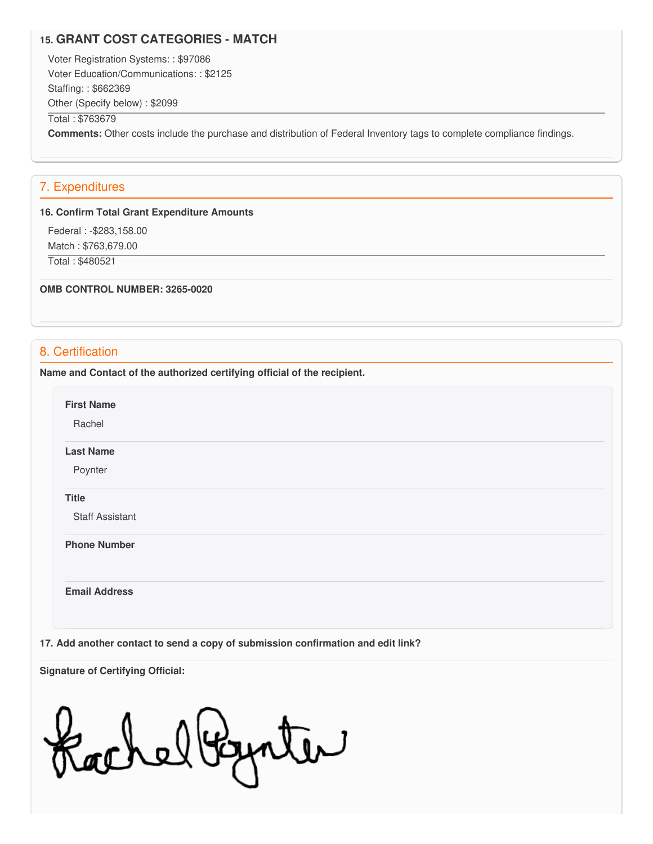### **15. GRANT COST CATEGORIES - MATCH**

 Voter Registration Systems: : \$97086 Voter Education/Communications: : \$2125 Staffing: : \$662369 Other (Specify below) : \$2099 Total : \$763679

**Comments:** Other costs include the purchase and distribution of Federal Inventory tags to complete compliance findings.

### 7. Expenditures

#### **16. Confirm Total Grant Expenditure Amounts**

 Federal : -[\\$283,158.00](https://283,158.00) Match : \$[763,679.00](https://763,679.00) Total : \$480521

#### **OMB CONTROL NUMBER: 3265-0020**

### 8. Certification

 **Name and Contact of the authorized certifying official of the recipient.**

**First Name**

Rachel

**Last Name**

Poynter

#### **Title**

Staff Assistant

**Phone Number** 

**Email Address**

 **17. Add another contact to send a copy of submission confirmation and edit link?**

 **Signature of Certifying Official:**

achelbynter